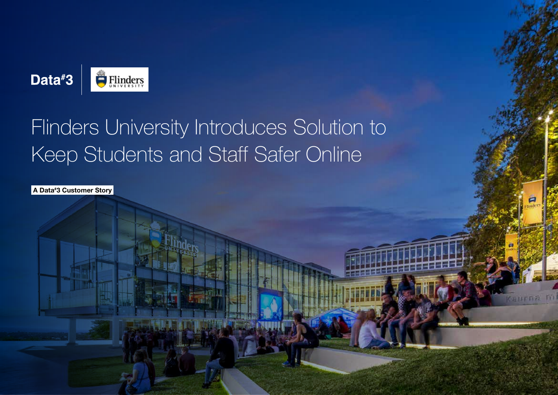

# Flinders University Introduces Solution to Keep Students and Staff Safer Online

A Data# 3 Customer Story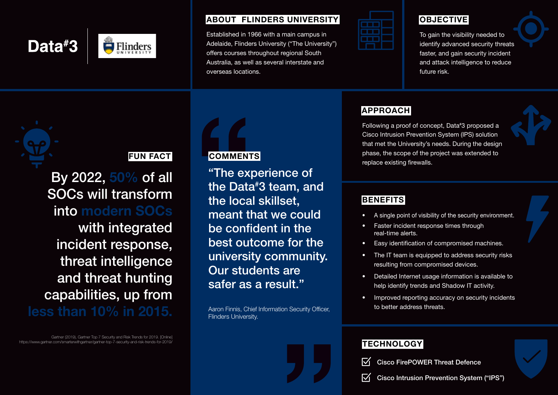

#### ABOUT FLINDERS UNIVERSITY

Established in 1966 with a main campus in Adelaide, Flinders University ("The University") offers courses throughout regional South Australia, as well as several interstate and overseas locations.

| __<br>__          |  |
|-------------------|--|
| ___<br>___<br>___ |  |
| ___<br>___<br>___ |  |
|                   |  |

# **OBJECTIVE**

To gain the visibility needed to identify advanced security threats faster, and gain security incident and attack intelligence to reduce future risk.



# FUN FACT

By 2022, 50% of all SOCs will transform into modern SOCs

with integrated incident response, threat intelligence and threat hunting capabilities, up from

less than 10% in 2015.

Gartner (2019), Gartner Top 7 Security and Risk Trends for 2019. [Online] https://www.gartner.com/smarterwithgartner/gartner-top-7-security-and-risk-trends-for-2019/



"The experience of the Data# 3 team, and the local skillset, meant that we could be confident in the best outcome for the university community. Our students are safer as a result."

Aaron Finnis, Chief Information Security Officer, Flinders University.

## **APPROACH**

Following a proof of concept, Data# 3 proposed a Cisco Intrusion Prevention System (IPS) solution that met the University's needs. During the design phase, the scope of the project was extended to replace existing firewalls.

### **BENEFITS**

- A single point of visibility of the security environment.
- Faster incident response times through real-time alerts.
- Easy identification of compromised machines.
- The IT team is equipped to address security risks resulting from compromised devices.
- Detailed Internet usage information is available to help identify trends and Shadow IT activity.
- Improved reporting accuracy on security incidents to better address threats.

# **TECHNOLOGY**

 $\nabla$ Cisco FirePOWER Threat Defence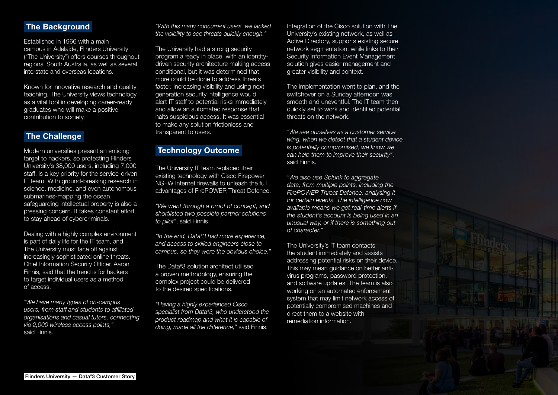#### **The Background**

Established in 1966 with a main campus in Adelaide, Flinders University ("The University") offers courses throughout regional South Australia, as well as several interstate and overseas locations.

Known for innovative research and quality teaching, The University views technology as a vital tool in developing career-ready graduates who will make a positive contribution to society.

#### **The Challenge**

Modern universities present an enticing target to hackers, so protecting Flinders University's 38,000 users, including 7,000 staff, is a key priority for the service-driven IT team. With ground-breaking research in science, medicine, and even autonomous submarines-mapping the ocean, safeguarding intellectual property is also a pressing concern. It takes constant effort to stay ahead of cybercriminals.

Dealing with a highly complex environment is part of daily life for the IT team, and The University must face off against increasingly sophisticated online threats. Chief Information Security Officer, Aaron Finnis, said that the trend is for hackers to target individual users as a method of access.

*"We have many types of on-campus users, from staff and students to affiliated organisations and casual tutors, connecting via 2,000 wireless access points,"*  said Finnis.

*"With this many concurrent users, we lacked the visibility to see threats quickly enough."*

The University had a strong security program already in place, with an identitydriven security architecture making access conditional, but it was determined that more could be done to address threats faster. Increasing visibility and using nextgeneration security intelligence would alert IT staff to potential risks immediately and allow an automated response that halts suspicious access. It was essential to make any solution frictionless and transparent to users.

#### Technology Outcome

The University IT team replaced their existing technology with Cisco Firepower NGFW Internet firewalls to unleash the full advantages of FirePOWER Threat Defence.

*"We went through a proof of concept, and shortlisted two possible partner solutions to pilot"*, said Finnis.

*"In the end, Data# 3 had more experience, and access to skilled engineers close to campus, so they were the obvious choice."*

The Data# 3 solution architect utilised a proven methodology, ensuring the complex project could be delivered to the desired specifications.

*"Having a highly experienced Cisco specialist from Data# 3, who understood the product roadmap and what it is capable of doing, made all the difference,"* said Finnis.

Integration of the Cisco solution with The University's existing network, as well as Active Directory, supports existing secure network segmentation, while links to their Security Information Event Management solution gives easier management and greater visibility and context.

The implementation went to plan, and the switchover on a Sunday afternoon was smooth and uneventful. The IT team then quickly set to work and identified potential threats on the network.

*"We see ourselves as a customer service wing, when we detect that a student device is potentially compromised, we know we can help them to improve their security"*, said Finnis.

*"We also use Splunk to aggregate data, from multiple points, including the FirePOWER Threat Defence, analysing it for certain events. The intelligence now available means we get real-time alerts if the student's account is being used in an unusual way, or if there is something out of character."*

The University's IT team contacts the student immediately and assists addressing potential risks on their device. This may mean guidance on better antivirus programs, password protection, and software updates. The team is also working on an automated enforcement system that may limit network access of potentially compromised machines and direct them to a website with remediation information.